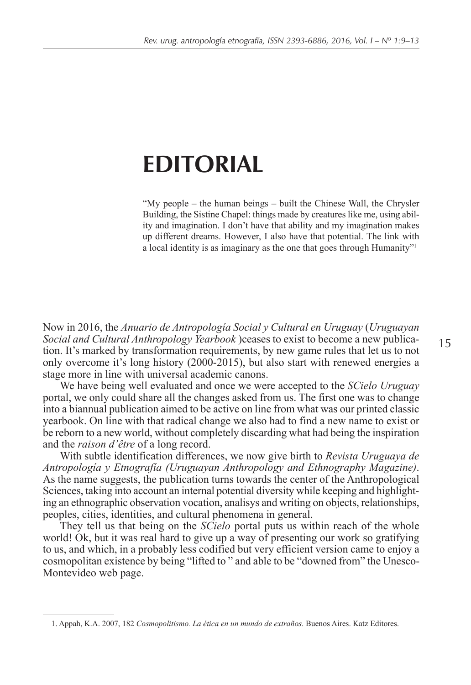# **EDITORIAL**

"My people – the human beings – built the Chinese Wall, the Chrysler Building, the Sistine Chapel: things made by creatures like me, using ability and imagination. I don't have that ability and my imagination makes up different dreams. However, I also have that potential. The link with a local identity is as imaginary as the one that goes through Humanity"1

Now in 2016, the *Anuario de Antropología Social y Cultural en Uruguay* (*Uruguayan Social and Cultural Anthropology Yearbook* )ceases to exist to become a new publication. It's marked by transformation requirements, by new game rules that let us to not only overcome it's long history (2000-2015), but also start with renewed energies a stage more in line with universal academic canons.

We have being well evaluated and once we were accepted to the *SCielo Uruguay* portal, we only could share all the changes asked from us. The first one was to change into a biannual publication aimed to be active on line from what was our printed classic yearbook. On line with that radical change we also had to find a new name to exist or be reborn to a new world, without completely discarding what had being the inspiration and the *raison d'être* of a long record.

With subtle identification differences, we now give birth to *Revista Uruguaya de Antropología y Etnografía (Uruguayan Anthropology and Ethnography Magazine)*. As the name suggests, the publication turns towards the center of the Anthropological Sciences, taking into account an internal potential diversity while keeping and highlighting an ethnographic observation vocation, analisys and writing on objects, relationships, peoples, cities, identities, and cultural phenomena in general.

They tell us that being on the *SCielo* portal puts us within reach of the whole world! Ok, but it was real hard to give up a way of presenting our work so gratifying to us, and which, in a probably less codified but very efficient version came to enjoy a cosmopolitan existence by being "lifted to " and able to be "downed from" the Unesco-Montevideo web page.

<sup>1.</sup> Appah, K.A. 2007, 182 *Cosmopolitismo. La ética en un mundo de extraños*. Buenos Aires. Katz Editores.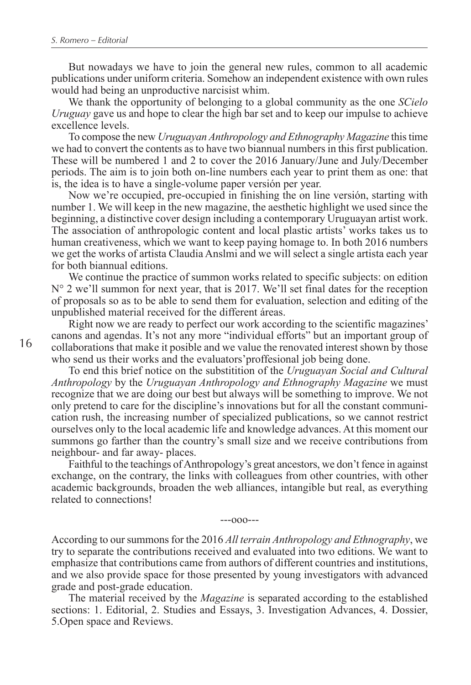But nowadays we have to join the general new rules, common to all academic publications under uniform criteria. Somehow an independent existence with own rules would had being an unproductive narcisist whim.

We thank the opportunity of belonging to a global community as the one *SCielo Uruguay* gave us and hope to clear the high bar set and to keep our impulse to achieve excellence levels.

To compose the new *Uruguayan Anthropology and Ethnography Magazine* this time we had to convert the contents as to have two biannual numbers in this first publication. These will be numbered 1 and 2 to cover the 2016 January/June and July/December periods. The aim is to join both on-line numbers each year to print them as one: that is, the idea is to have a single-volume paper versión per year.

Now we're occupied, pre-occupied in finishing the on line versión, starting with number 1. We will keep in the new magazine, the aesthetic highlight we used since the beginning, a distinctive cover design including a contemporary Uruguayan artist work. The association of anthropologic content and local plastic artists' works takes us to human creativeness, which we want to keep paying homage to. In both 2016 numbers we get the works of artista Claudia Anslmi and we will select a single artista each year for both biannual editions.

We continue the practice of summon works related to specific subjects: on edition  $N^{\circ}$  2 we'll summon for next year, that is 2017. We'll set final dates for the reception of proposals so as to be able to send them for evaluation, selection and editing of the unpublished material received for the different áreas.

Right now we are ready to perfect our work according to the scientific magazines' canons and agendas. It's not any more "individual efforts" but an important group of collaborations that make it posible and we value the renovated interest shown by those who send us their works and the evaluators'proffesional job being done.

To end this brief notice on the substitition of the *Uruguayan Social and Cultural Anthropology* by the *Uruguayan Anthropology and Ethnography Magazine* we must recognize that we are doing our best but always will be something to improve. We not only pretend to care for the discipline's innovations but for all the constant communication rush, the increasing number of specialized publications, so we cannot restrict ourselves only to the local academic life and knowledge advances. At this moment our summons go farther than the country's small size and we receive contributions from neighbour- and far away- places.

Faithful to the teachings of Anthropology's great ancestors, we don't fence in against exchange, on the contrary, the links with colleagues from other countries, with other academic backgrounds, broaden the web alliances, intangible but real, as everything related to connections!

---ooo---

According to our summons for the 2016 *All terrain Anthropology and Ethnography*, we try to separate the contributions received and evaluated into two editions. We want to emphasize that contributions came from authors of different countries and institutions, and we also provide space for those presented by young investigators with advanced grade and post-grade education.

The material received by the *Magazine* is separated according to the established sections: 1. Editorial, 2. Studies and Essays, 3. Investigation Advances, 4. Dossier, 5.Open space and Reviews.

16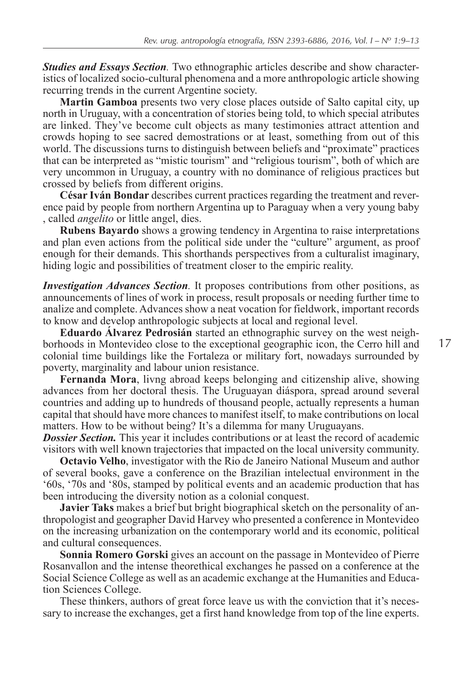*Studies and Essays Section.* Two ethnographic articles describe and show characteristics of localized socio-cultural phenomena and a more anthropologic article showing recurring trends in the current Argentine society.

**Martin Gamboa** presents two very close places outside of Salto capital city, up north in Uruguay, with a concentration of stories being told, to which special atributes are linked. They've become cult objects as many testimonies attract attention and crowds hoping to see sacred demostrations or at least, something from out of this world. The discussions turns to distinguish between beliefs and "proximate" practices that can be interpreted as "mistic tourism" and "religious tourism", both of which are very uncommon in Uruguay, a country with no dominance of religious practices but crossed by beliefs from different origins.

**César Iván Bondar** describes current practices regarding the treatment and reverence paid by people from northern Argentina up to Paraguay when a very young baby , called *angelito* or little angel, dies.

**Rubens Bayardo** shows a growing tendency in Argentina to raise interpretations and plan even actions from the political side under the "culture" argument, as proof enough for their demands. This shorthands perspectives from a culturalist imaginary, hiding logic and possibilities of treatment closer to the empiric reality.

*Investigation Advances Section.* It proposes contributions from other positions, as announcements of lines of work in process, result proposals or needing further time to analize and complete. Advances show a neat vocation for fieldwork, important records to know and develop anthropologic subjects at local and regional level.

**Eduardo Álvarez Pedrosián** started an ethnographic survey on the west neighborhoods in Montevideo close to the exceptional geographic icon, the Cerro hill and colonial time buildings like the Fortaleza or military fort, nowadays surrounded by poverty, marginality and labour union resistance.

**Fernanda Mora**, livng abroad keeps belonging and citizenship alive, showing advances from her doctoral thesis. The Uruguayan diáspora, spread around several countries and adding up to hundreds of thousand people, actually represents a human capital that should have more chances to manifest itself, to make contributions on local matters. How to be without being? It's a dilemma for many Uruguayans.

*Dossier Section.* This year it includes contributions or at least the record of academic visitors with well known trajectories that impacted on the local university community.

**Octavio Velho**, investigator with the Rio de Janeiro National Museum and author of several books, gave a conference on the Brazilian intelectual environment in the '60s, '70s and '80s, stamped by political events and an academic production that has been introducing the diversity notion as a colonial conquest.

**Javier Taks** makes a brief but bright biographical sketch on the personality of anthropologist and geographer David Harvey who presented a conference in Montevideo on the increasing urbanization on the contemporary world and its economic, political and cultural consequences.

**Sonnia Romero Gorski** gives an account on the passage in Montevideo of Pierre Rosanvallon and the intense theorethical exchanges he passed on a conference at the Social Science College as well as an academic exchange at the Humanities and Education Sciences College.

These thinkers, authors of great force leave us with the conviction that it's necessary to increase the exchanges, get a first hand knowledge from top of the line experts.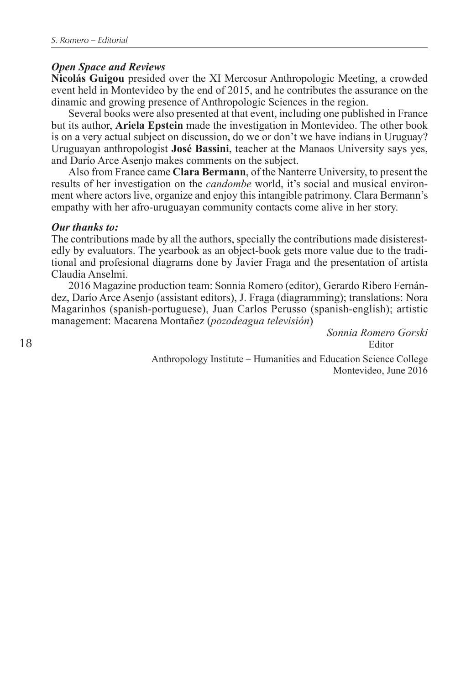## *Open Space and Reviews*

**Nicolás Guigou** presided over the XI Mercosur Anthropologic Meeting, a crowded event held in Montevideo by the end of 2015, and he contributes the assurance on the dinamic and growing presence of Anthropologic Sciences in the region.

Several books were also presented at that event, including one published in France but its author, **Ariela Epstein** made the investigation in Montevideo. The other book is on a very actual subject on discussion, do we or don't we have indians in Uruguay? Uruguayan anthropologist **José Bassini**, teacher at the Manaos University says yes, and Darío Arce Asenjo makes comments on the subject.

Also from France came **Clara Bermann**, of the Nanterre University, to present the results of her investigation on the *candombe* world, it's social and musical environment where actors live, organize and enjoy this intangible patrimony. Clara Bermann's empathy with her afro-uruguayan community contacts come alive in her story.

#### *Our thanks to:*

The contributions made by all the authors, specially the contributions made disisterestedly by evaluators. The yearbook as an object-book gets more value due to the traditional and profesional diagrams done by Javier Fraga and the presentation of artista Claudia Anselmi.

2016 Magazine production team: Sonnia Romero (editor), Gerardo Ribero Fernández, Darío Arce Asenjo (assistant editors), J. Fraga (diagramming); translations: Nora Magarinhos (spanish-portuguese), Juan Carlos Perusso (spanish-english); artistic management: Macarena Montañez (*pozodeagua televisión*)

> *Sonnia Romero Gorski* Editor

Anthropology Institute – Humanities and Education Science College Montevideo, June 2016

18